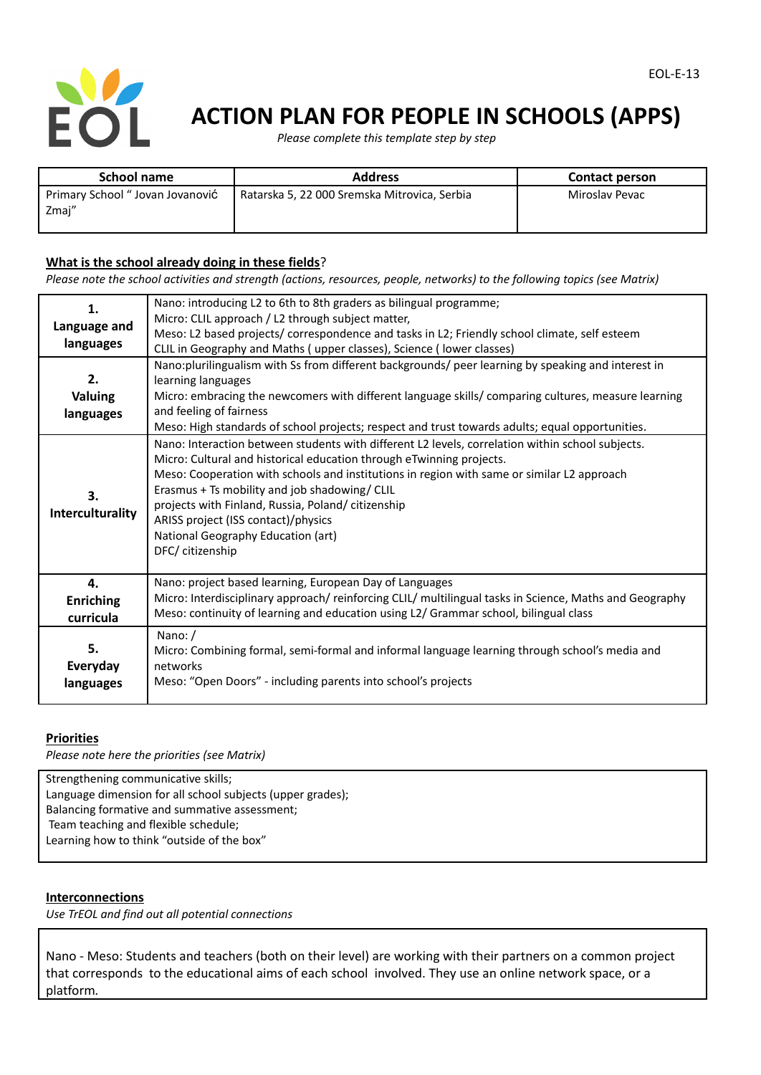

# **ACTION PLAN FOR PEOPLE IN SCHOOLS (APPS)**

*Please complete this template step by step*

| School name                              | <b>Address</b>                               | <b>Contact person</b> |
|------------------------------------------|----------------------------------------------|-----------------------|
| Primary School "Jovan Jovanović<br>Zmaj" | Ratarska 5, 22 000 Sremska Mitrovica, Serbia | Miroslav Pevac        |

## **What is the school already doing in these fields**?

Please note the school activities and strength (actions, resources, people, networks) to the following topics (see Matrix)

| 1.                     | Nano: introducing L2 to 6th to 8th graders as bilingual programme;                                                                                                                                                                                                                                                                                                                                                                                                             |  |  |
|------------------------|--------------------------------------------------------------------------------------------------------------------------------------------------------------------------------------------------------------------------------------------------------------------------------------------------------------------------------------------------------------------------------------------------------------------------------------------------------------------------------|--|--|
| Language and           | Micro: CLIL approach / L2 through subject matter,                                                                                                                                                                                                                                                                                                                                                                                                                              |  |  |
|                        | Meso: L2 based projects/ correspondence and tasks in L2; Friendly school climate, self esteem                                                                                                                                                                                                                                                                                                                                                                                  |  |  |
| languages              | CLIL in Geography and Maths (upper classes), Science (lower classes)                                                                                                                                                                                                                                                                                                                                                                                                           |  |  |
|                        | Nano:plurilingualism with Ss from different backgrounds/ peer learning by speaking and interest in                                                                                                                                                                                                                                                                                                                                                                             |  |  |
| 2.                     | learning languages                                                                                                                                                                                                                                                                                                                                                                                                                                                             |  |  |
| Valuing                | Micro: embracing the newcomers with different language skills/ comparing cultures, measure learning                                                                                                                                                                                                                                                                                                                                                                            |  |  |
| languages              | and feeling of fairness                                                                                                                                                                                                                                                                                                                                                                                                                                                        |  |  |
|                        | Meso: High standards of school projects; respect and trust towards adults; equal opportunities.                                                                                                                                                                                                                                                                                                                                                                                |  |  |
| 3.<br>Interculturality | Nano: Interaction between students with different L2 levels, correlation within school subjects.<br>Micro: Cultural and historical education through eTwinning projects.<br>Meso: Cooperation with schools and institutions in region with same or similar L2 approach<br>Erasmus + Ts mobility and job shadowing/ CLIL<br>projects with Finland, Russia, Poland/ citizenship<br>ARISS project (ISS contact)/physics<br>National Geography Education (art)<br>DFC/ citizenship |  |  |
| 4.                     | Nano: project based learning, European Day of Languages                                                                                                                                                                                                                                                                                                                                                                                                                        |  |  |
| <b>Enriching</b>       | Micro: Interdisciplinary approach/reinforcing CLIL/ multilingual tasks in Science, Maths and Geography                                                                                                                                                                                                                                                                                                                                                                         |  |  |
| curricula              | Meso: continuity of learning and education using L2/ Grammar school, bilingual class                                                                                                                                                                                                                                                                                                                                                                                           |  |  |
|                        |                                                                                                                                                                                                                                                                                                                                                                                                                                                                                |  |  |
| 5.                     | Nano:/                                                                                                                                                                                                                                                                                                                                                                                                                                                                         |  |  |
|                        | Micro: Combining formal, semi-formal and informal language learning through school's media and                                                                                                                                                                                                                                                                                                                                                                                 |  |  |
| Everyday               | networks                                                                                                                                                                                                                                                                                                                                                                                                                                                                       |  |  |
| languages              | Meso: "Open Doors" - including parents into school's projects                                                                                                                                                                                                                                                                                                                                                                                                                  |  |  |
|                        |                                                                                                                                                                                                                                                                                                                                                                                                                                                                                |  |  |

#### **Priorities**

*Please note here the priorities (see Matrix)*

Strengthening communicative skills; Language dimension for all school subjects (upper grades); Balancing formative and summative assessment; Team teaching and flexible schedule; Learning how to think "outside of the box"

#### **Interconnections**

*Use TrEOL and find out all potential connections*

Nano - Meso: Students and teachers (both on their level) are working with their partners on a common project that corresponds to the educational aims of each school involved. They use an online network space, or a platform*.*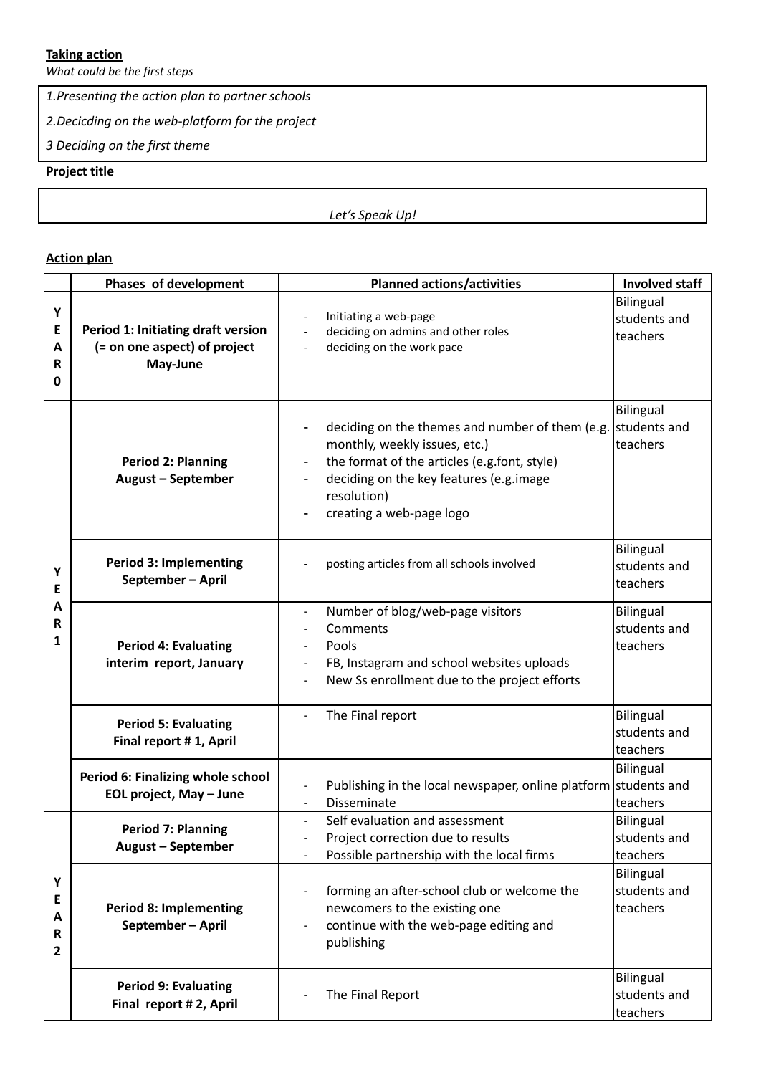## **Taking action**

*What could be the first steps*

*1.Presenting the action plan to partner schools*

*2.Decicding on the web-platform for the project*

*3 Deciding on the first theme*

## **Project title**

*Let's Speak Up!*

## **Action plan**

|                                  | Phases of development                                                          | <b>Planned actions/activities</b>                                                                                                                                                                                                                                              | <b>Involved staff</b>                        |
|----------------------------------|--------------------------------------------------------------------------------|--------------------------------------------------------------------------------------------------------------------------------------------------------------------------------------------------------------------------------------------------------------------------------|----------------------------------------------|
| Υ<br>E<br>A<br>$\mathsf{R}$<br>0 | Period 1: Initiating draft version<br>(= on one aspect) of project<br>May-June | Initiating a web-page<br>deciding on admins and other roles<br>$\blacksquare$<br>deciding on the work pace                                                                                                                                                                     | <b>Bilingual</b><br>students and<br>teachers |
| Υ<br>Ε<br>Α<br>R<br>1            | <b>Period 2: Planning</b><br><b>August - September</b>                         | deciding on the themes and number of them (e.g.<br>monthly, weekly issues, etc.)<br>the format of the articles (e.g.font, style)<br>$\overline{\phantom{a}}$<br>deciding on the key features (e.g.image<br>$\overline{\phantom{a}}$<br>resolution)<br>creating a web-page logo | Bilingual<br>students and<br>teachers        |
|                                  | <b>Period 3: Implementing</b><br>September-April                               | posting articles from all schools involved                                                                                                                                                                                                                                     | <b>Bilingual</b><br>students and<br>teachers |
|                                  | <b>Period 4: Evaluating</b><br>interim report, January                         | Number of blog/web-page visitors<br>$\overline{\phantom{a}}$<br>Comments<br>$\overline{\phantom{a}}$<br>Pools<br>FB, Instagram and school websites uploads<br>$\overline{\phantom{a}}$<br>New Ss enrollment due to the project efforts                                         | Bilingual<br>students and<br>teachers        |
|                                  | <b>Period 5: Evaluating</b><br>Final report #1, April                          | The Final report                                                                                                                                                                                                                                                               | Bilingual<br>students and<br>teachers        |
|                                  | Period 6: Finalizing whole school<br>EOL project, May - June                   | Publishing in the local newspaper, online platform students and<br>Disseminate                                                                                                                                                                                                 | Bilingual<br>teachers                        |
| Υ<br>Е<br>A<br>R<br>$\mathbf{2}$ | <b>Period 7: Planning</b><br><b>August - September</b>                         | Self evaluation and assessment<br>$\blacksquare$<br>Project correction due to results<br>Possible partnership with the local firms                                                                                                                                             | <b>Bilingual</b><br>students and<br>teachers |
|                                  | <b>Period 8: Implementing</b><br>September-April                               | forming an after-school club or welcome the<br>newcomers to the existing one<br>continue with the web-page editing and<br>$\overline{\phantom{a}}$<br>publishing                                                                                                               | <b>Bilingual</b><br>students and<br>teachers |
|                                  | <b>Period 9: Evaluating</b><br>Final report # 2, April                         | The Final Report                                                                                                                                                                                                                                                               | Bilingual<br>students and<br>teachers        |